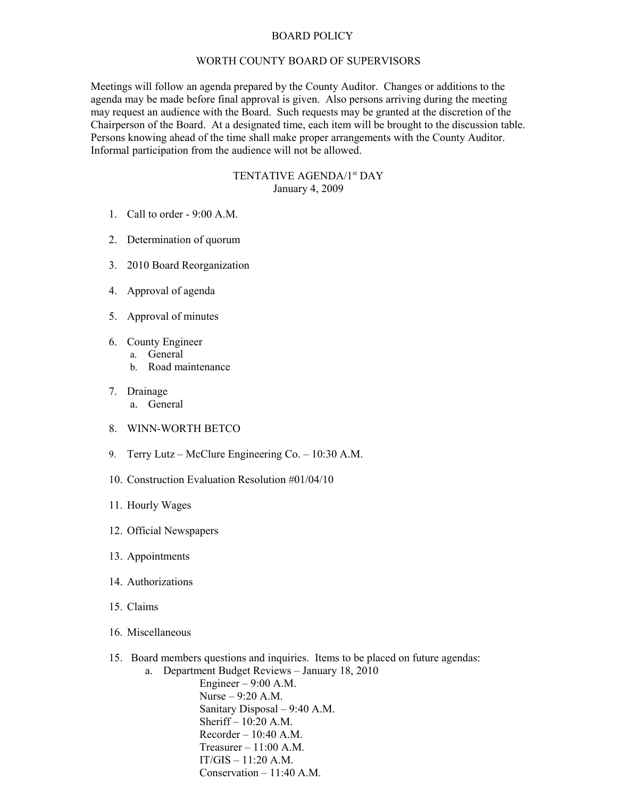## BOARD POLICY

## WORTH COUNTY BOARD OF SUPERVISORS

Meetings will follow an agenda prepared by the County Auditor. Changes or additions to the agenda may be made before final approval is given. Also persons arriving during the meeting may request an audience with the Board. Such requests may be granted at the discretion of the Chairperson of the Board. At a designated time, each item will be brought to the discussion table. Persons knowing ahead of the time shall make proper arrangements with the County Auditor. Informal participation from the audience will not be allowed.

## TENTATIVE AGENDA/1<sup>st</sup> DAY January 4, 2009

- 1. Call to order 9:00 A.M.
- 2. Determination of quorum
- 3. 2010 Board Reorganization
- 4. Approval of agenda
- 5. Approval of minutes
- 6. County Engineer
	- a. General
	- b. Road maintenance
- 7. Drainage
	- a. General
- 8. WINN-WORTH BETCO
- 9. Terry Lutz McClure Engineering Co. 10:30 A.M.
- 10. Construction Evaluation Resolution #01/04/10
- 11. Hourly Wages
- 12. Official Newspapers
- 13. Appointments
- 14. Authorizations
- 15. Claims
- 16. Miscellaneous
- 15. Board members questions and inquiries. Items to be placed on future agendas:
	- a. Department Budget Reviews January 18, 2010

Engineer – 9:00 A.M. Nurse – 9:20 A.M. Sanitary Disposal – 9:40 A.M. Sheriff – 10:20 A.M.  $Recorder - 10:40 A.M.$ Treasurer  $-11:00$  A.M. IT/GIS – 11:20 A.M. Conservation  $-11:40$  A.M.